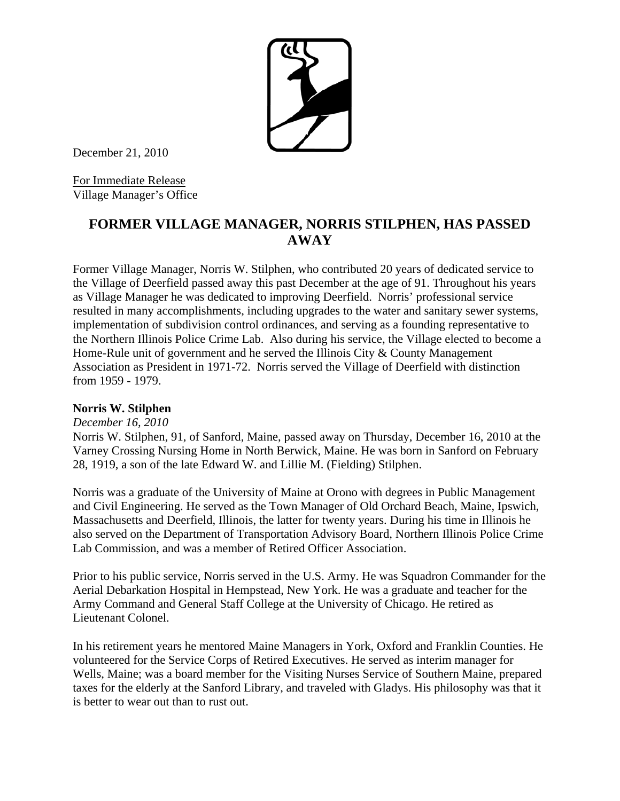December 21, 2010

For Immediate Release Village Manager's Office

## **FORMER VILLAGE MANAGER, NORRIS STILPHEN, HAS PASSED AWAY**

Former Village Manager, Norris W. Stilphen, who contributed 20 years of dedicated service to the Village of Deerfield passed away this past December at the age of 91. Throughout his years as Village Manager he was dedicated to improving Deerfield. Norris' professional service resulted in many accomplishments, including upgrades to the water and sanitary sewer systems, implementation of subdivision control ordinances, and serving as a founding representative to the Northern Illinois Police Crime Lab. Also during his service, the Village elected to become a Home-Rule unit of government and he served the Illinois City & County Management Association as President in 1971-72. Norris served the Village of Deerfield with distinction from 1959 - 1979.

## **Norris W. Stilphen**

*December 16, 2010*

Norris W. Stilphen, 91, of Sanford, Maine, passed away on Thursday, December 16, 2010 at the Varney Crossing Nursing Home in North Berwick, Maine. He was born in Sanford on February 28, 1919, a son of the late Edward W. and Lillie M. (Fielding) Stilphen.

Norris was a graduate of the University of Maine at Orono with degrees in Public Management and Civil Engineering. He served as the Town Manager of Old Orchard Beach, Maine, Ipswich, Massachusetts and Deerfield, Illinois, the latter for twenty years. During his time in Illinois he also served on the Department of Transportation Advisory Board, Northern Illinois Police Crime Lab Commission, and was a member of Retired Officer Association.

Prior to his public service, Norris served in the U.S. Army. He was Squadron Commander for the Aerial Debarkation Hospital in Hempstead, New York. He was a graduate and teacher for the Army Command and General Staff College at the University of Chicago. He retired as Lieutenant Colonel.

In his retirement years he mentored Maine Managers in York, Oxford and Franklin Counties. He volunteered for the Service Corps of Retired Executives. He served as interim manager for Wells, Maine; was a board member for the Visiting Nurses Service of Southern Maine, prepared taxes for the elderly at the Sanford Library, and traveled with Gladys. His philosophy was that it is better to wear out than to rust out.